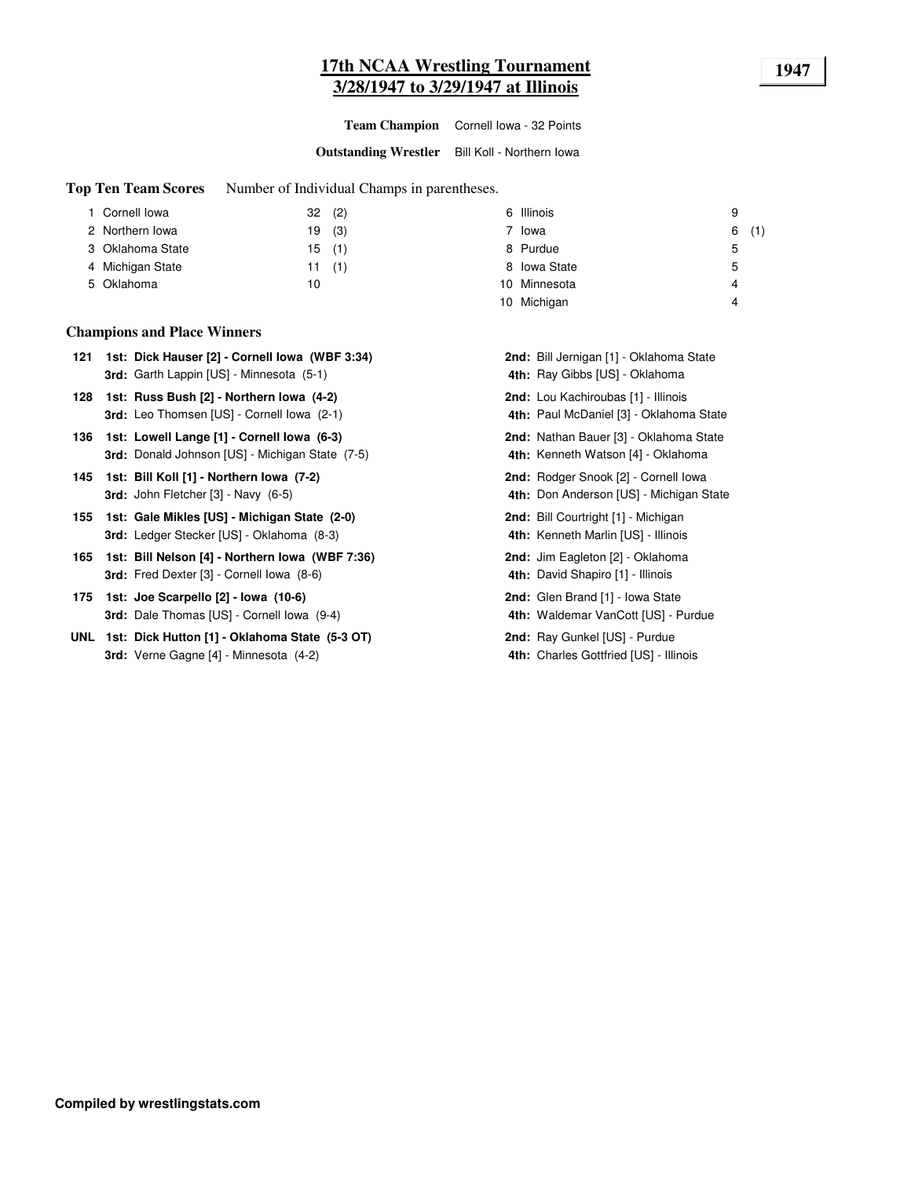#### **17th NCAA Wrestling Tournament 1947 3/28/1947 to 3/29/1947 at Illinois**

**Team Champion** Cornell Iowa - 32 Points

**Outstanding Wrestler** Bill Koll - Northern Iowa

**Top Ten Team Scores** Number of Individual Champs in parentheses.

| 1 Cornell Iowa   | (2)<br>32 | 6 Illinois       | 9        |
|------------------|-----------|------------------|----------|
| 2 Northern Iowa  | (3)<br>19 | 7 Iowa           | (1)<br>6 |
| 3 Oklahoma State | (1)<br>15 | 8 Purdue         | 5        |
| 4 Michigan State | 11(1)     | 8 Iowa State     | 5        |
| 5 Oklahoma       | 10        | Minnesota<br>10. | 4        |
|                  |           | Michigan<br>10   | 4        |

#### **Champions and Place Winners**

| 121 1st: Dick Hauser [2] - Cornell Iowa (WBF 3:34) | 2nd: Bill Jernigan [1] - Oklahoma State |
|----------------------------------------------------|-----------------------------------------|
| <b>3rd:</b> Garth Lappin [US] - Minnesota (5-1)    | 4th: Ray Gibbs [US] - Oklahoma          |

- **128 Russ Bush [2] - Northern Iowa (4-2)** Lou Kachiroubas [1] Illinois **1st: 2nd: 3rd:** Leo Thomsen [US] - Cornell Iowa (2-1) 44
- 136 1st: Lowell Lange [1] Cornell Iowa (6-3) Nathan Bauer [3] Oklahoma State **3rd:** Donald Johnson [US] - Michigan State (7-5) **4**
- **145 1st: Bill Koll [1] · Northern Iowa (7-2) <b>Roder Stroom Stroom 2nd:** Rodger Snook [2] · Cornell Iowa **3rd:** John Fletcher [3] - Navy (6-5) **4**
- **155 Gale Mikles [US] - Michigan State (2-0)** Bill Courtright [1] Michigan **1st: 2nd: 3rd:** Ledger Stecker [US] - Oklahoma (8-3) **4th:**
- **165 Bill Nelson [4] - Northern Iowa (WBF 7:36)** Jim Eagleton [2] Oklahoma **1st: 2nd: 3rd:** Fred Dexter [3] - Cornell Iowa (8-6) **4th:**
- **175 1st: Joe Scarpello [2] Iowa (10-6)** Glen Brand [1] Iowa State **3rd:** Dale Thomas [US] - Cornell Iowa (9-4) **4th:** Called Thomas **4th:** 4th:
- **UNL 1st: Dick Hutton [1] Oklahoma State (5-3 OT) <b>Reproduce Conditional Product** Purdue **2nd:** Ray Gunkel [US] Purdue **3rd:** Verne Gagne [4] - Minnesota (4-2) **4th: 4th: 4th: 4th: 4th: 4th: 4th: 4th: 4th: 4th: 4th: 4th: 4th: 4th: 4th: 4th: 4th: 4th: 4th: 4th: 4th: 4th: 4th: 4th: 4th: 4th:**

| <b>nd:</b> Bill Jernigan [1] - Oklahoma State<br>4th: Ray Gibbs [US] - Oklahoma           |
|-------------------------------------------------------------------------------------------|
| <b>nd:</b> Lou Kachiroubas [1] - Illinois<br>4th: Paul McDaniel [3] - Oklahoma State      |
| <b>nd:</b> Nathan Bauer [3] - Oklahoma State<br><b>4th:</b> Kenneth Watson [4] - Oklahoma |
| nd: Rodger Snook [2] - Cornell Iowa<br>4th: Don Anderson [US] - Michigan State            |
| nd: Bill Courtright [1] - Michigan<br>4th: Kenneth Marlin [US] - Illinois                 |
| nd: Jim Eagleton [2] - Oklahoma<br>4th: David Shapiro [1] - Illinois                      |
| <b>nd:</b> Glen Brand [1] - Iowa State<br>4th: Waldemar VanCott [US] - Purdue             |
| nd: Ray Gunkel [US] - Purdue<br>4th: Charles Gottfried [US] - Illinois                    |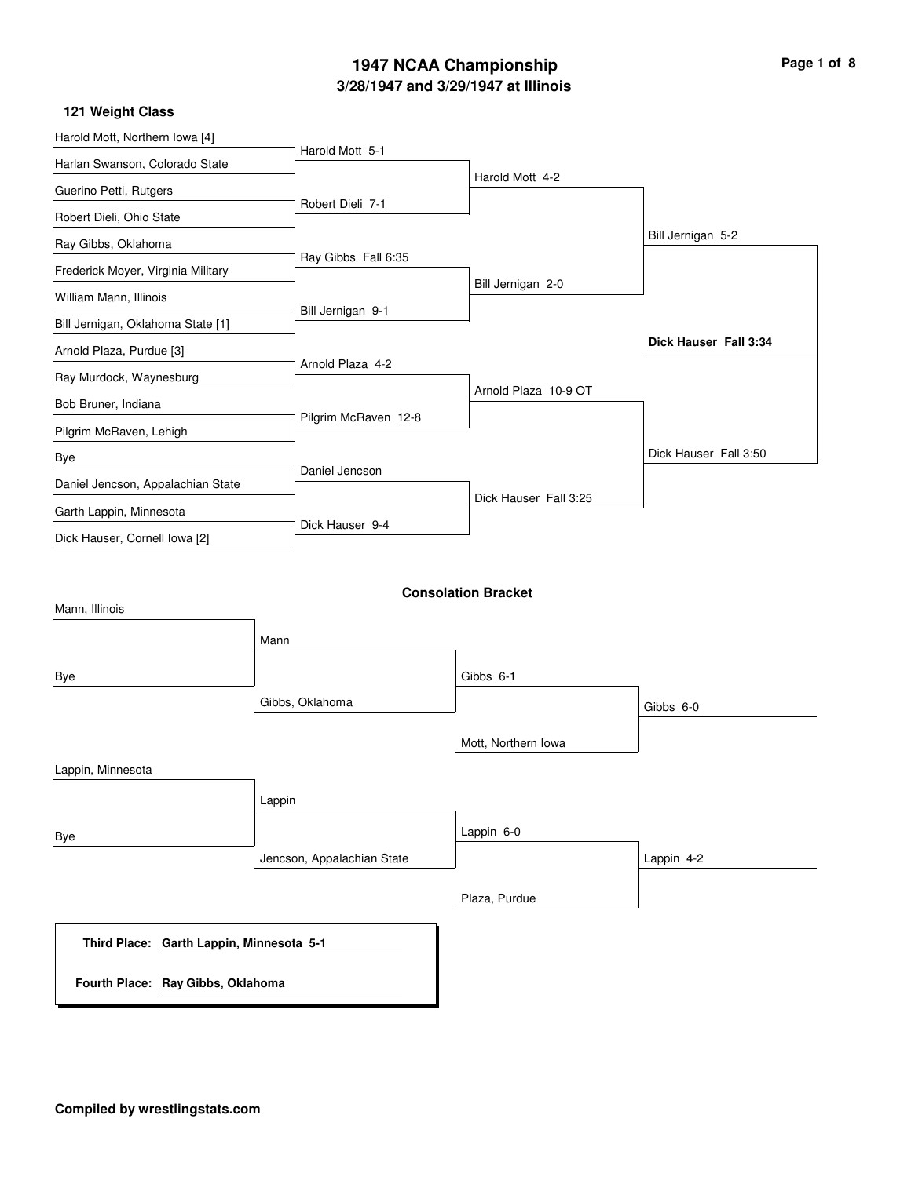## **3/28/1947 and 3/29/1947 at Illinois 1947 NCAA Championship**

| Page 1 of 8 |  |  |  |
|-------------|--|--|--|
|-------------|--|--|--|

| Harold Mott, Northern Iowa [4]           |                            |                            |                       |
|------------------------------------------|----------------------------|----------------------------|-----------------------|
| Harlan Swanson, Colorado State           | Harold Mott 5-1            |                            |                       |
| Guerino Petti, Rutgers                   |                            | Harold Mott 4-2            |                       |
| Robert Dieli, Ohio State                 | Robert Dieli 7-1           |                            |                       |
| Ray Gibbs, Oklahoma                      |                            |                            | Bill Jernigan 5-2     |
| Frederick Moyer, Virginia Military       | Ray Gibbs Fall 6:35        |                            |                       |
| William Mann, Illinois                   |                            | Bill Jernigan 2-0          |                       |
| Bill Jernigan, Oklahoma State [1]        | Bill Jernigan 9-1          |                            |                       |
| Arnold Plaza, Purdue [3]                 |                            |                            | Dick Hauser Fall 3:34 |
| Ray Murdock, Waynesburg                  | Arnold Plaza 4-2           |                            |                       |
| Bob Bruner, Indiana                      |                            | Arnold Plaza 10-9 OT       |                       |
| Pilgrim McRaven, Lehigh                  | Pilgrim McRaven 12-8       |                            |                       |
| Bye                                      |                            |                            | Dick Hauser Fall 3:50 |
| Daniel Jencson, Appalachian State        | Daniel Jencson             |                            |                       |
| Garth Lappin, Minnesota                  |                            | Dick Hauser Fall 3:25      |                       |
| Dick Hauser, Cornell Iowa [2]            | Dick Hauser 9-4            |                            |                       |
|                                          |                            |                            |                       |
|                                          |                            | <b>Consolation Bracket</b> |                       |
| Mann, Illinois                           |                            |                            |                       |
|                                          | Mann                       |                            |                       |
| Bye                                      |                            | Gibbs 6-1                  |                       |
|                                          | Gibbs, Oklahoma            |                            | Gibbs 6-0             |
|                                          |                            |                            |                       |
|                                          |                            | Mott, Northern Iowa        |                       |
| Lappin, Minnesota                        |                            |                            |                       |
|                                          | Lappin                     |                            |                       |
| Bye                                      |                            | Lappin 6-0                 |                       |
|                                          | Jencson, Appalachian State |                            | Lappin 4-2            |
|                                          |                            |                            |                       |
|                                          |                            | Plaza, Purdue              |                       |
| Third Place: Garth Lappin, Minnesota 5-1 |                            |                            |                       |
| Fourth Place: Ray Gibbs, Oklahoma        |                            |                            |                       |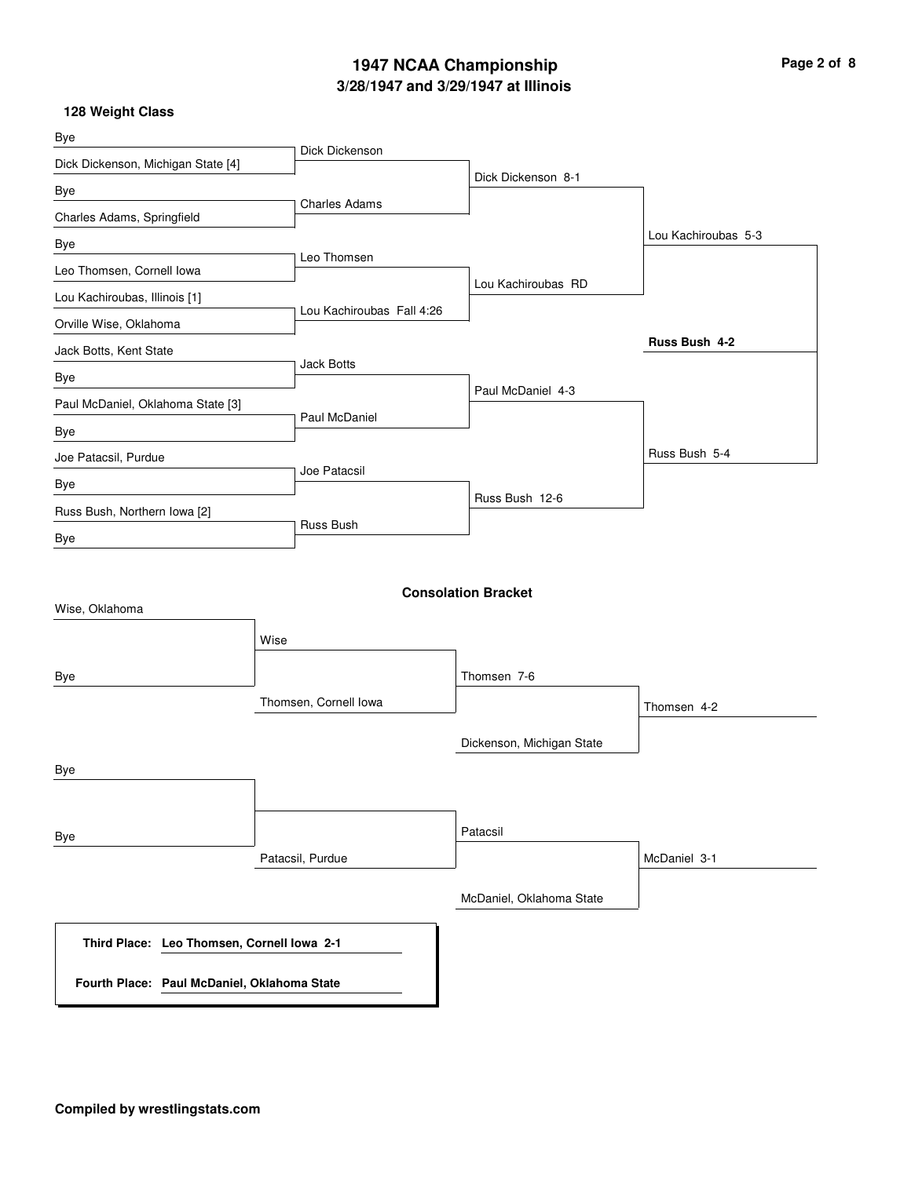# **3/28/1947 and 3/29/1947 at Illinois 1947 NCAA Championship Page 2 of 8**

| <b>Bye</b>                                  |                           |                            |                     |
|---------------------------------------------|---------------------------|----------------------------|---------------------|
| Dick Dickenson, Michigan State [4]          | Dick Dickenson            |                            |                     |
| Bye                                         |                           | Dick Dickenson 8-1         |                     |
| Charles Adams, Springfield                  | <b>Charles Adams</b>      |                            |                     |
| Bye                                         |                           |                            | Lou Kachiroubas 5-3 |
| Leo Thomsen, Cornell Iowa                   | Leo Thomsen               |                            |                     |
| Lou Kachiroubas, Illinois [1]               |                           | Lou Kachiroubas RD         |                     |
| Orville Wise, Oklahoma                      | Lou Kachiroubas Fall 4:26 |                            |                     |
| Jack Botts, Kent State                      | <b>Jack Botts</b>         |                            | Russ Bush 4-2       |
| Bye                                         |                           | Paul McDaniel 4-3          |                     |
| Paul McDaniel, Oklahoma State [3]           |                           |                            |                     |
| Bye                                         | Paul McDaniel             |                            |                     |
| Joe Patacsil, Purdue                        | Joe Patacsil              |                            | Russ Bush 5-4       |
| Bye                                         |                           | Russ Bush 12-6             |                     |
| Russ Bush, Northern Iowa [2]                | Russ Bush                 |                            |                     |
| Bye                                         |                           |                            |                     |
| Wise, Oklahoma                              |                           | <b>Consolation Bracket</b> |                     |
| Bye                                         | Wise                      | Thomsen 7-6                |                     |
|                                             | Thomsen, Cornell Iowa     |                            | Thomsen 4-2         |
|                                             |                           | Dickenson, Michigan State  |                     |
| <b>Bye</b>                                  |                           |                            |                     |
|                                             |                           |                            |                     |
| Bye                                         |                           | Patacsil                   |                     |
|                                             | Patacsil, Purdue          |                            | McDaniel 3-1        |
|                                             |                           | McDaniel, Oklahoma State   |                     |
| Third Place: Leo Thomsen, Cornell Iowa 2-1  |                           |                            |                     |
| Fourth Place: Paul McDaniel, Oklahoma State |                           |                            |                     |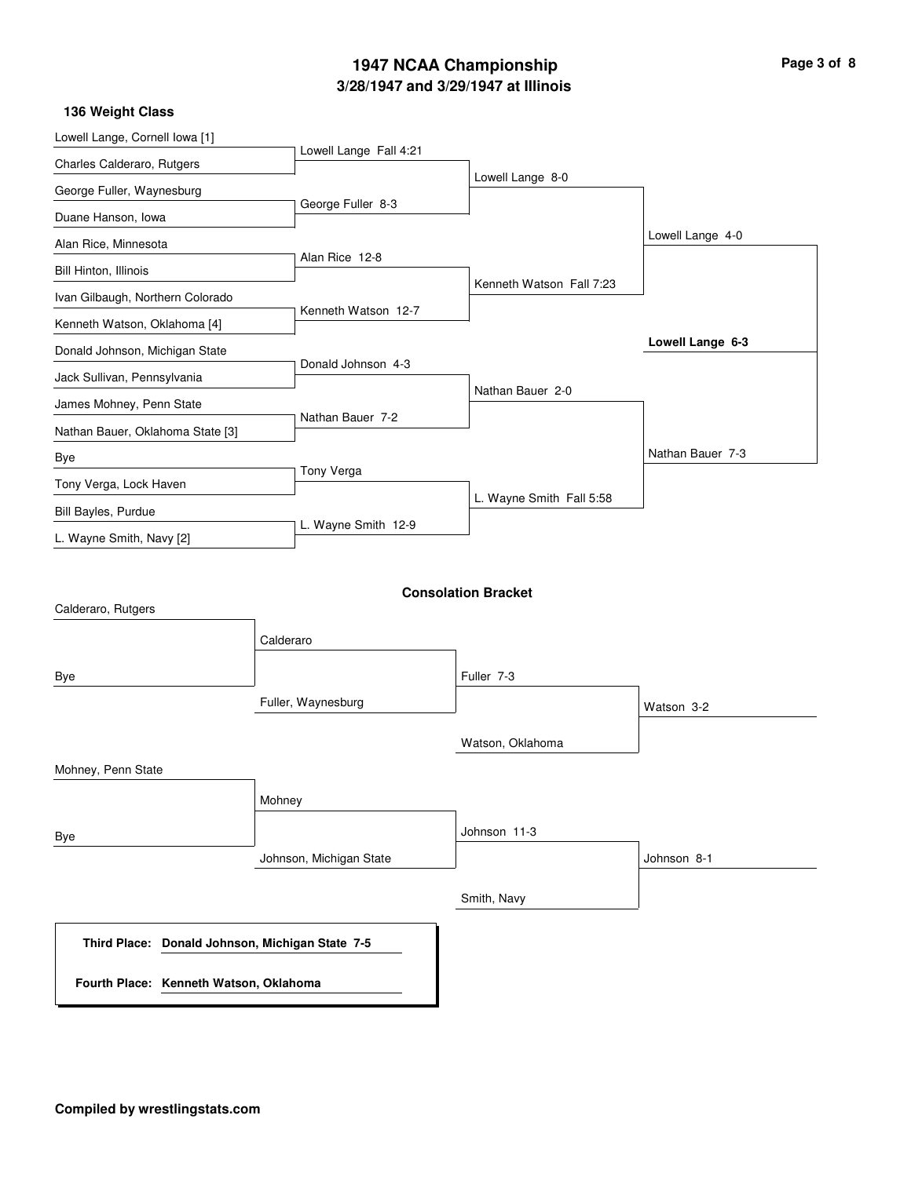# **3/28/1947 and 3/29/1947 at Illinois 1947 NCAA Championship Page 3 of 8**

| Page 3 of 8 |  |  |
|-------------|--|--|
|             |  |  |

| Lowell Lange, Cornell Iowa [1]                  |                         |                            |                  |
|-------------------------------------------------|-------------------------|----------------------------|------------------|
| Charles Calderaro, Rutgers                      | Lowell Lange Fall 4:21  |                            |                  |
| George Fuller, Waynesburg                       |                         | Lowell Lange 8-0           |                  |
| Duane Hanson, Iowa                              | George Fuller 8-3       |                            |                  |
| Alan Rice, Minnesota                            |                         |                            | Lowell Lange 4-0 |
| Bill Hinton, Illinois                           | Alan Rice 12-8          |                            |                  |
| Ivan Gilbaugh, Northern Colorado                |                         | Kenneth Watson Fall 7:23   |                  |
| Kenneth Watson, Oklahoma [4]                    | Kenneth Watson 12-7     |                            |                  |
| Donald Johnson, Michigan State                  |                         |                            | Lowell Lange 6-3 |
| Jack Sullivan, Pennsylvania                     | Donald Johnson 4-3      |                            |                  |
| James Mohney, Penn State                        |                         | Nathan Bauer 2-0           |                  |
| Nathan Bauer, Oklahoma State [3]                | Nathan Bauer 7-2        |                            |                  |
| Bye                                             |                         |                            | Nathan Bauer 7-3 |
| Tony Verga, Lock Haven                          | Tony Verga              |                            |                  |
| Bill Bayles, Purdue                             |                         | L. Wayne Smith Fall 5:58   |                  |
| L. Wayne Smith, Navy [2]                        | L. Wayne Smith 12-9     |                            |                  |
| Calderaro, Rutgers                              | Calderaro               | <b>Consolation Bracket</b> |                  |
| Bye                                             |                         | Fuller 7-3                 |                  |
|                                                 | Fuller, Waynesburg      | Watson, Oklahoma           | Watson 3-2       |
| Mohney, Penn State                              |                         |                            |                  |
|                                                 | Mohney                  |                            |                  |
| Bye                                             |                         | Johnson 11-3               |                  |
|                                                 | Johnson, Michigan State |                            | Johnson 8-1      |
|                                                 |                         | Smith, Navy                |                  |
| Third Place: Donald Johnson, Michigan State 7-5 |                         |                            |                  |
| Fourth Place: Kenneth Watson, Oklahoma          |                         |                            |                  |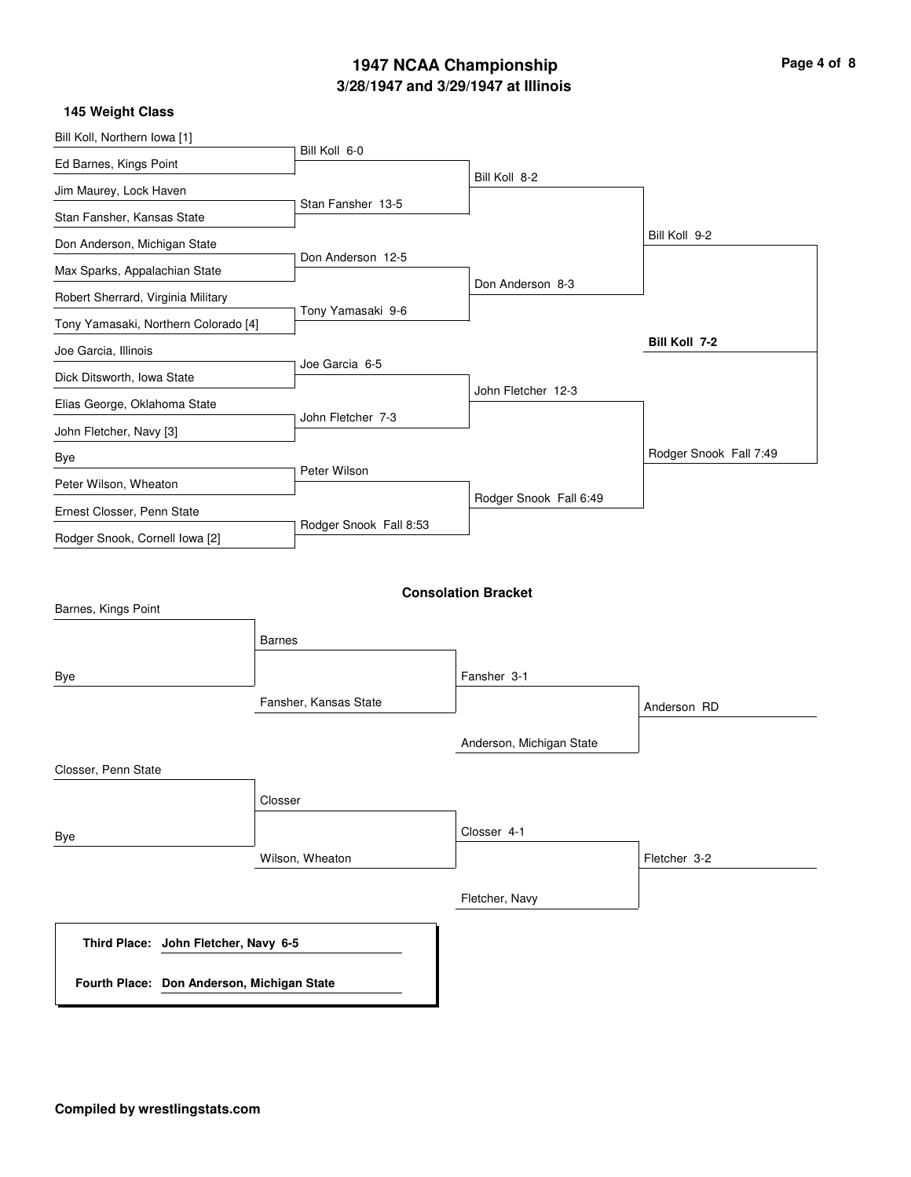## **3/28/1947 and 3/29/1947 at Illinois 1947 NCAA Championship Page 4 of 8**

| 145 Weight Class                                                                   |                        |                            |                        |
|------------------------------------------------------------------------------------|------------------------|----------------------------|------------------------|
| Bill Koll, Northern Iowa [1]                                                       |                        |                            |                        |
| Ed Barnes, Kings Point                                                             | Bill Koll 6-0          |                            |                        |
| Jim Maurey, Lock Haven                                                             |                        | Bill Koll 8-2              |                        |
| Stan Fansher, Kansas State                                                         | Stan Fansher 13-5      |                            |                        |
| Don Anderson, Michigan State                                                       |                        |                            | Bill Koll 9-2          |
| Max Sparks, Appalachian State                                                      | Don Anderson 12-5      |                            |                        |
| Robert Sherrard, Virginia Military                                                 |                        | Don Anderson 8-3           |                        |
| Tony Yamasaki, Northern Colorado [4]                                               | Tony Yamasaki 9-6      |                            |                        |
| Joe Garcia, Illinois                                                               |                        |                            | <b>Bill Koll 7-2</b>   |
| Dick Ditsworth, Iowa State                                                         | Joe Garcia 6-5         |                            |                        |
| Elias George, Oklahoma State                                                       |                        | John Fletcher 12-3         |                        |
| John Fletcher, Navy [3]                                                            | John Fletcher 7-3      |                            |                        |
| Bye                                                                                |                        |                            | Rodger Snook Fall 7:49 |
| Peter Wilson, Wheaton                                                              | Peter Wilson           |                            |                        |
| Ernest Closser, Penn State                                                         |                        | Rodger Snook Fall 6:49     |                        |
| Rodger Snook, Cornell Iowa [2]                                                     | Rodger Snook Fall 8:53 |                            |                        |
| Barnes, Kings Point                                                                | <b>Barnes</b>          | <b>Consolation Bracket</b> |                        |
| Bye                                                                                |                        | Fansher 3-1                |                        |
|                                                                                    | Fansher, Kansas State  |                            | Anderson RD            |
|                                                                                    |                        | Anderson, Michigan State   |                        |
| Closser, Penn State                                                                |                        |                            |                        |
|                                                                                    | Closser                |                            |                        |
| Bye                                                                                |                        | Closser 4-1                |                        |
|                                                                                    | Wilson, Wheaton        |                            | Fletcher 3-2           |
|                                                                                    |                        | Fletcher, Navy             |                        |
| Third Place: John Fletcher, Navy 6-5<br>Fourth Place: Don Anderson, Michigan State |                        |                            |                        |
|                                                                                    |                        |                            |                        |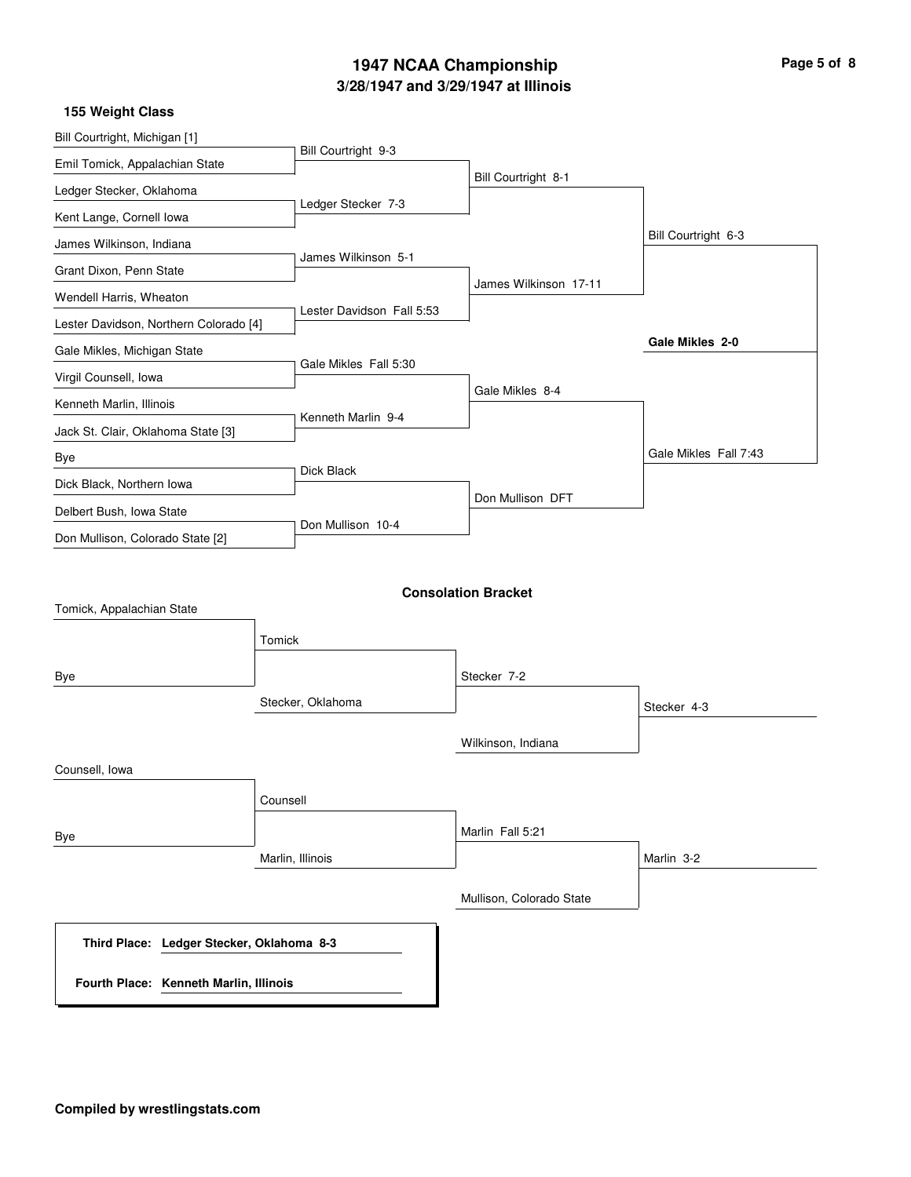# **3/28/1947 and 3/29/1947 at Illinois 1947 NCAA Championship Page 5 of 8**

| 155 Weight Class                          |                           |                            |                       |
|-------------------------------------------|---------------------------|----------------------------|-----------------------|
| Bill Courtright, Michigan [1]             |                           |                            |                       |
| Emil Tomick, Appalachian State            | Bill Courtright 9-3       |                            |                       |
| Ledger Stecker, Oklahoma                  |                           | Bill Courtright 8-1        |                       |
| Kent Lange, Cornell lowa                  | Ledger Stecker 7-3        |                            |                       |
| James Wilkinson, Indiana                  |                           |                            | Bill Courtright 6-3   |
| Grant Dixon, Penn State                   | James Wilkinson 5-1       |                            |                       |
| Wendell Harris, Wheaton                   |                           | James Wilkinson 17-11      |                       |
| Lester Davidson, Northern Colorado [4]    | Lester Davidson Fall 5:53 |                            |                       |
| Gale Mikles, Michigan State               |                           |                            | Gale Mikles 2-0       |
| Virgil Counsell, Iowa                     | Gale Mikles Fall 5:30     |                            |                       |
| Kenneth Marlin, Illinois                  |                           | Gale Mikles 8-4            |                       |
| Jack St. Clair, Oklahoma State [3]        | Kenneth Marlin 9-4        |                            |                       |
| Bye                                       |                           |                            | Gale Mikles Fall 7:43 |
| Dick Black, Northern Iowa                 | Dick Black                |                            |                       |
| Delbert Bush, Iowa State                  |                           | Don Mullison DFT           |                       |
| Don Mullison, Colorado State [2]          | Don Mullison 10-4         |                            |                       |
| Tomick, Appalachian State                 | Tomick                    | <b>Consolation Bracket</b> |                       |
|                                           |                           | Stecker 7-2                |                       |
| Bye                                       | Stecker, Oklahoma         |                            |                       |
|                                           |                           |                            | Stecker 4-3           |
|                                           |                           | Wilkinson, Indiana         |                       |
| Counsell, Iowa                            |                           |                            |                       |
|                                           | Counsell                  |                            |                       |
|                                           |                           | Marlin Fall 5:21           |                       |
| Bye                                       | Marlin, Illinois          |                            | Marlin 3-2            |
|                                           |                           |                            |                       |
|                                           |                           | Mullison, Colorado State   |                       |
| Third Place: Ledger Stecker, Oklahoma 8-3 |                           |                            |                       |
| Fourth Place: Kenneth Marlin, Illinois    |                           |                            |                       |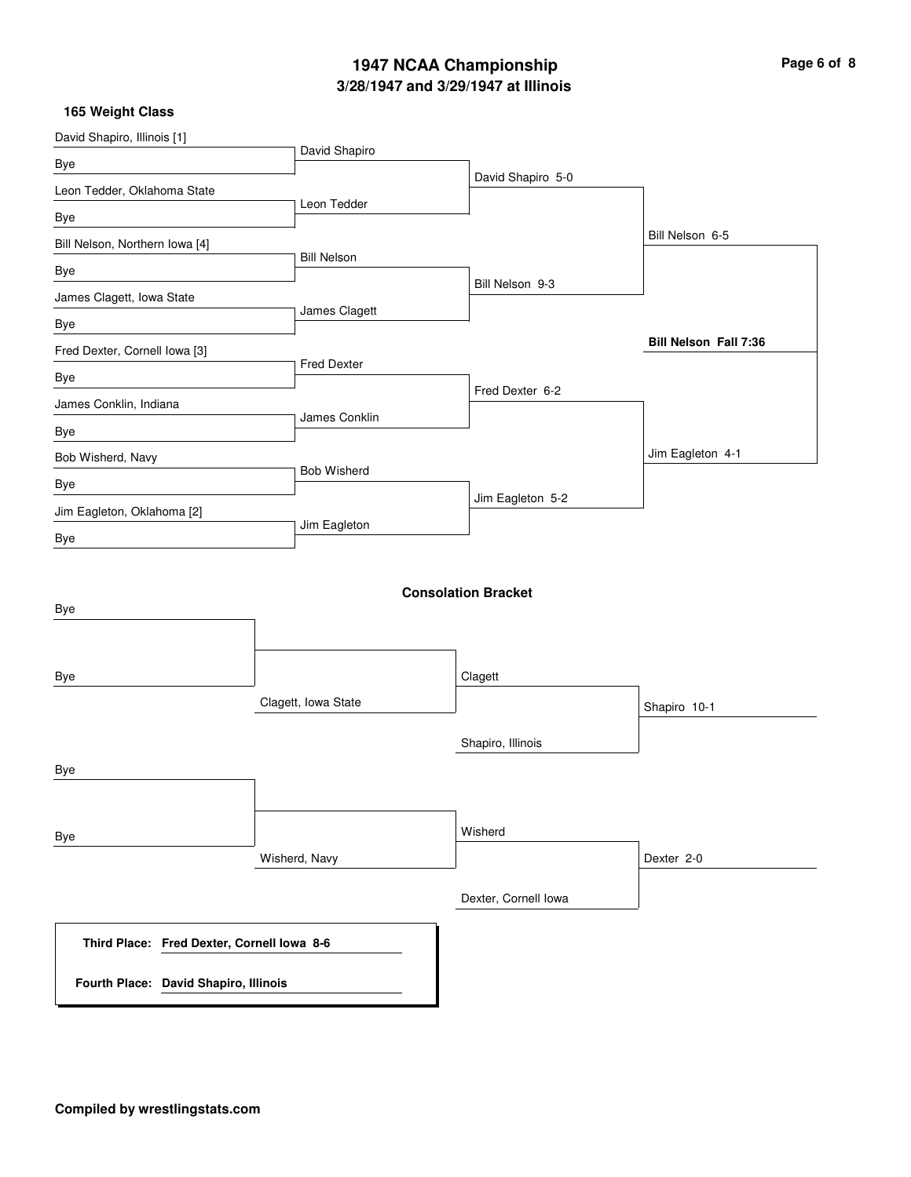# **3/28/1947 and 3/29/1947 at Illinois 1947 NCAA Championship Page 6 of 8**

| David Shapiro, Illinois [1]                |                     |                            |                       |
|--------------------------------------------|---------------------|----------------------------|-----------------------|
| Bye                                        | David Shapiro       |                            |                       |
| Leon Tedder, Oklahoma State                |                     | David Shapiro 5-0          |                       |
| Bye                                        | Leon Tedder         |                            |                       |
| Bill Nelson, Northern Iowa [4]             |                     |                            | Bill Nelson 6-5       |
| Bye                                        | <b>Bill Nelson</b>  |                            |                       |
| James Clagett, Iowa State                  |                     | Bill Nelson 9-3            |                       |
| Bye                                        | James Clagett       |                            |                       |
| Fred Dexter, Cornell Iowa [3]              |                     |                            | Bill Nelson Fall 7:36 |
| Bye                                        | <b>Fred Dexter</b>  |                            |                       |
| James Conklin, Indiana                     |                     | Fred Dexter 6-2            |                       |
| Bye                                        | James Conklin       |                            |                       |
| Bob Wisherd, Navy                          |                     |                            | Jim Eagleton 4-1      |
| Bye                                        | <b>Bob Wisherd</b>  |                            |                       |
| Jim Eagleton, Oklahoma [2]                 |                     | Jim Eagleton 5-2           |                       |
| Bye                                        | Jim Eagleton        |                            |                       |
| Bye                                        |                     | <b>Consolation Bracket</b> |                       |
| Bye                                        | Clagett, Iowa State | Clagett                    | Shapiro 10-1          |
|                                            |                     |                            |                       |
|                                            |                     | Shapiro, Illinois          |                       |
| <b>Bye</b>                                 |                     |                            |                       |
| Bye                                        |                     | Wisherd                    |                       |
|                                            | Wisherd, Navy       |                            | Dexter 2-0            |
|                                            |                     | Dexter, Cornell lowa       |                       |
| Third Place: Fred Dexter, Cornell Iowa 8-6 |                     |                            |                       |
| Fourth Place: David Shapiro, Illinois      |                     |                            |                       |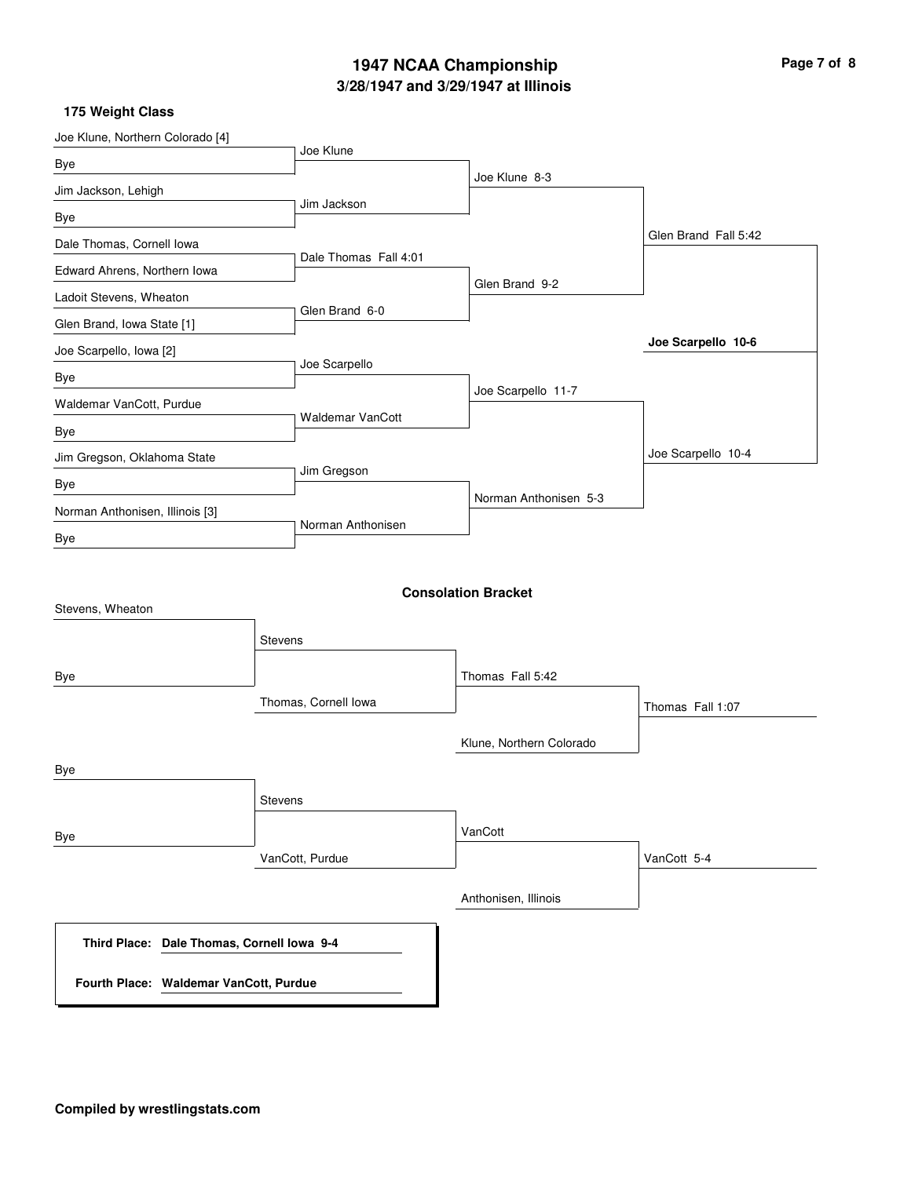## **3/28/1947 and 3/29/1947 at Illinois 1947 NCAA Championship Page 7 of 8**

| Joe Klune, Northern Colorado [4]                     |                         |                            |                      |
|------------------------------------------------------|-------------------------|----------------------------|----------------------|
| Bye                                                  | Joe Klune               |                            |                      |
| Jim Jackson, Lehigh                                  |                         | Joe Klune 8-3              |                      |
| Bye                                                  | Jim Jackson             |                            |                      |
| Dale Thomas, Cornell Iowa                            |                         |                            | Glen Brand Fall 5:42 |
| Edward Ahrens, Northern Iowa                         | Dale Thomas Fall 4:01   |                            |                      |
| Ladoit Stevens, Wheaton                              |                         | Glen Brand 9-2             |                      |
| Glen Brand, Iowa State [1]                           | Glen Brand 6-0          |                            |                      |
| Joe Scarpello, Iowa [2]                              |                         |                            | Joe Scarpello 10-6   |
| Bye                                                  | Joe Scarpello           |                            |                      |
| Waldemar VanCott, Purdue                             |                         | Joe Scarpello 11-7         |                      |
| Bye                                                  | <b>Waldemar VanCott</b> |                            |                      |
| Jim Gregson, Oklahoma State                          |                         |                            | Joe Scarpello 10-4   |
| Bye                                                  | Jim Gregson             |                            |                      |
| Norman Anthonisen, Illinois [3]                      |                         | Norman Anthonisen 5-3      |                      |
| Bye                                                  | Norman Anthonisen       |                            |                      |
| Stevens, Wheaton                                     |                         | <b>Consolation Bracket</b> |                      |
|                                                      | <b>Stevens</b>          |                            |                      |
| Bye                                                  |                         | Thomas Fall 5:42           |                      |
|                                                      | Thomas, Cornell Iowa    |                            | Thomas Fall 1:07     |
|                                                      |                         | Klune, Northern Colorado   |                      |
| Bye                                                  |                         |                            |                      |
|                                                      | Stevens                 |                            |                      |
| Bye                                                  |                         | VanCott                    |                      |
|                                                      | VanCott, Purdue         |                            | VanCott 5-4          |
|                                                      |                         | Anthonisen, Illinois       |                      |
| Dale Thomas, Cornell Iowa 9-4<br><b>Third Place:</b> |                         |                            |                      |
| Fourth Place: Waldemar VanCott, Purdue               |                         |                            |                      |